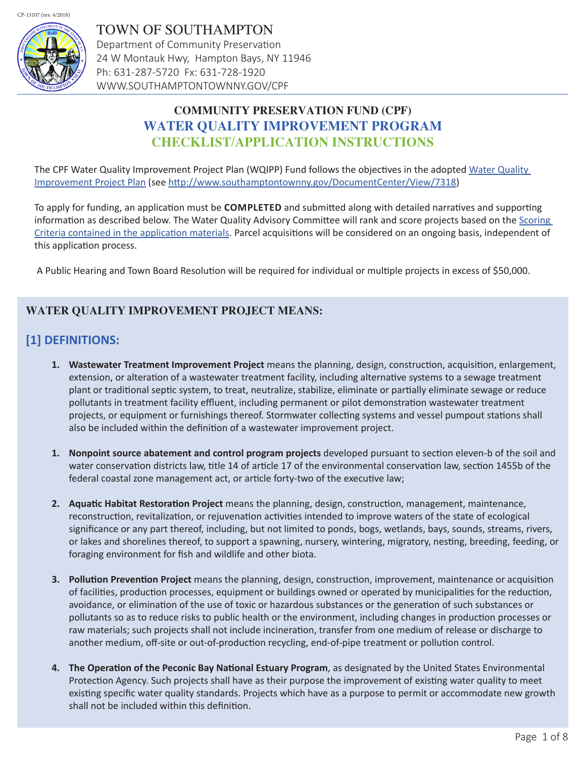

TOWN OF SOUTHAMPTON Department of Community Preservation 24 W Montauk Hwy, Hampton Bays, NY 11946 Ph: 631-287-5720 Fx: 631-728-1920 WWW.SOUTHAMPTONTOWNNY.GOV/CPF

# **COMMUNITY PRESERVATION FUND (CPF) WATER QUALITY IMPROVEMENT PROGRAM CHECKLIST/APPLICATION INSTRUCTIONS**

The CPF Water Quality Improvement Project Plan (WQIPP) Fund follows the objectives in the adopted [Water Quality](http://www.southamptontownny.gov/documentcenter/view/7318)  [Improvement Project Plan](http://www.southamptontownny.gov/documentcenter/view/7318) (see <http://www.southamptontownny.gov/DocumentCenter/View/7318>)

To apply for funding, an application must be **COMPLETED** and submitted along with detailed narratives and supporting information as described below. The Water Quality Advisory Committee will rank and score projects based on the Scoring [Criteria contained in the application materials.](http://ny-southampton.civicplus.com/DocumentCenter/View/13050) Parcel acquisitions will be considered on an ongoing basis, independent of this application process.

A Public Hearing and Town Board Resolution will be required for individual or multiple projects in excess of \$50,000.

## **WATER QUALITY IMPROVEMENT PROJECT MEANS:**

# **[1] DEFINITIONS:**

- **1. Wastewater Treatment Improvement Project** means the planning, design, construction, acquisition, enlargement, extension, or alteration of a wastewater treatment facility, including alternative systems to a sewage treatment plant or traditional septic system, to treat, neutralize, stabilize, eliminate or partially eliminate sewage or reduce pollutants in treatment facility effluent, including permanent or pilot demonstration wastewater treatment projects, or equipment or furnishings thereof. Stormwater collecting systems and vessel pumpout stations shall also be included within the definition of a wastewater improvement project.
- **1. Nonpoint source abatement and control program projects** developed pursuant to section eleven-b of the soil and water conservation districts law, title 14 of article 17 of the environmental conservation law, section 1455b of the federal coastal zone management act, or article forty-two of the executive law;
- **2. Aquatic Habitat Restoration Project** means the planning, design, construction, management, maintenance, reconstruction, revitalization, or rejuvenation activities intended to improve waters of the state of ecological significance or any part thereof, including, but not limited to ponds, bogs, wetlands, bays, sounds, streams, rivers, or lakes and shorelines thereof, to support a spawning, nursery, wintering, migratory, nesting, breeding, feeding, or foraging environment for fish and wildlife and other biota.
- **3. Pollution Prevention Project** means the planning, design, construction, improvement, maintenance or acquisition of facilities, production processes, equipment or buildings owned or operated by municipalities for the reduction, avoidance, or elimination of the use of toxic or hazardous substances or the generation of such substances or pollutants so as to reduce risks to public health or the environment, including changes in production processes or raw materials; such projects shall not include incineration, transfer from one medium of release or discharge to another medium, off-site or out-of-production recycling, end-of-pipe treatment or pollution control.
- **4. The Operation of the Peconic Bay National Estuary Program**, as designated by the United States Environmental Protection Agency. Such projects shall have as their purpose the improvement of existing water quality to meet existing specific water quality standards. Projects which have as a purpose to permit or accommodate new growth shall not be included within this definition.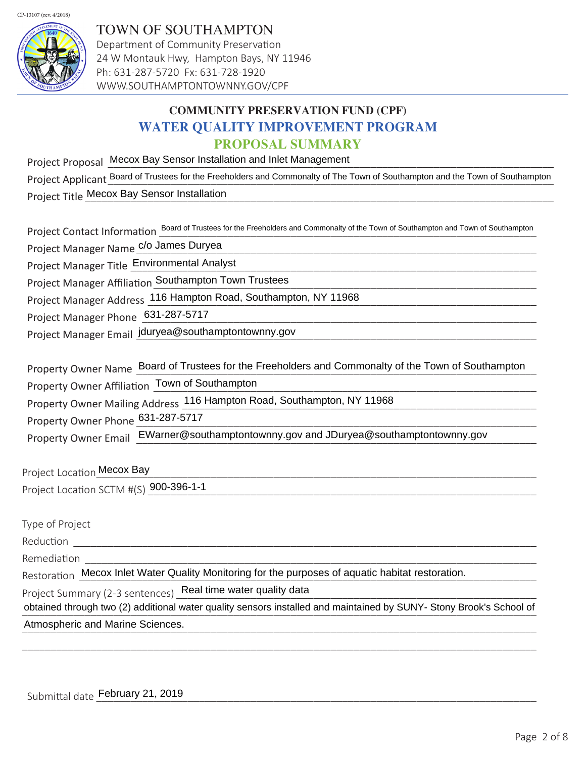

TOWN OF SOUTHAMPTON Department of Community Preservation 24 W Montauk Hwy, Hampton Bays, NY 11946 Ph: 631-287-5720 Fx: 631-728-1920 WWW.SOUTHAMPTONTOWNNY.GOV/CPF

# **COMMUNITY PRESERVATION FUND (CPF) WATER QUALITY IMPROVEMENT PROGRAM PROPOSAL SUMMARY**

Project Proposal Mecox Bay Sensor Installation and Inlet Management New York Channel Construction and Inlet Management Project Applicant Board of Trustees for the Freeholders and Commonalty of The Town of Southampton and the Town of Southampton Project Title Mecox Bay Sensor Installation Matchester Controller and Controller Annual Control of Mecox Bay Sensor Installation

Project Contact Information  $\frac{Board}{\cdot}$  of Trustees for the Freeholders and Commonalty of the Town of Southampton and Town of Southampton

Project Manager Name\_\_\_\_\_\_\_\_\_\_\_\_\_\_\_\_\_\_\_\_\_\_\_\_\_\_\_\_\_\_\_\_\_\_\_\_\_\_\_\_\_\_\_\_\_\_\_\_\_\_\_\_\_\_\_\_\_\_\_\_\_\_\_\_\_\_\_\_\_\_ c/o James Duryea

Project Manager Title Environmental Analyst environmental Analyst environmental and the substitution of the substitution of the substitution of the substitution of the substitution of the substitution of the substitution o

Project Manager Affiliation Southampton Town Trustees<br>
Southampton Connect Connect Connect Connect Connect Connect Connect Connect Connect Connect Connect Connect Co

Project Manager Address 116 Hampton Road, Southampton, NY 11968

Project Manager Phone 631-287-5717<br>
Superior Manager Phone 631-287-5717

Project Manager Email jduryea@southamptontownny.gov

Property Owner Name Board of Trustees for the Freeholders and Commonalty of the Town of Southampton

Property Owner Affiliation  $\frac{1}{2}$  Town of Southampton example and the summary control of the state of the state of the state of the state of the state of the state of the state of the state of the state of the state of

Property Owner Mailing Address 116 Hampton Road, Southampton, NY 11968

Property Owner Phone 631-287-5717<br>
Froperty Owner Phone 631-287-5717

Property Owner Email EWarner@southamptontownny.gov and JDuryea@southamptontownny.gov

Project Location Mecox Bay

Project Location SCTM #(S) \_\_\_\_\_\_\_\_\_\_\_\_\_\_\_\_\_\_\_\_\_\_\_\_\_\_\_\_\_\_\_\_\_\_\_\_\_\_\_\_\_\_\_\_\_\_\_\_\_\_\_\_\_\_\_\_\_\_\_\_\_\_\_\_\_\_\_\_ Mecox Bay900-396-1-1

Type of Project Reduction \_\_\_\_\_\_\_\_\_\_\_\_\_\_\_\_\_\_\_\_\_\_\_\_\_\_\_\_\_\_\_\_\_\_\_\_\_\_\_\_\_\_\_\_\_\_\_\_\_\_\_\_\_\_\_\_\_\_\_\_\_\_\_\_\_\_\_\_\_\_\_\_\_\_\_\_\_\_\_\_\_ Remediation Restoration \_Mecox Inlet Water Quality Monitoring for the purposes of aquatic habitat restoration.<br>Project Summary (2-3 sentences) \_Real time water quality data Project Summary (2-3 sentences) Real time water quality data obtained through two (2) additional water quality sensors installed and maintained by SUNY- Stony Brook's School of \_\_\_\_\_\_\_\_\_\_\_\_\_\_\_\_\_\_\_\_\_\_\_\_\_\_\_\_\_\_\_\_\_\_\_\_\_\_\_\_\_\_\_\_\_\_\_\_\_\_\_\_\_\_\_\_\_\_\_\_\_\_\_\_\_\_\_\_\_\_\_\_\_\_\_\_\_\_\_\_\_\_\_\_\_\_\_\_\_\_ Atmospheric and Marine Sciences.

\_\_\_\_\_\_\_\_\_\_\_\_\_\_\_\_\_\_\_\_\_\_\_\_\_\_\_\_\_\_\_\_\_\_\_\_\_\_\_\_\_\_\_\_\_\_\_\_\_\_\_\_\_\_\_\_\_\_\_\_\_\_\_\_\_\_\_\_\_\_\_\_\_\_\_\_\_\_\_\_\_\_\_\_\_\_\_\_\_\_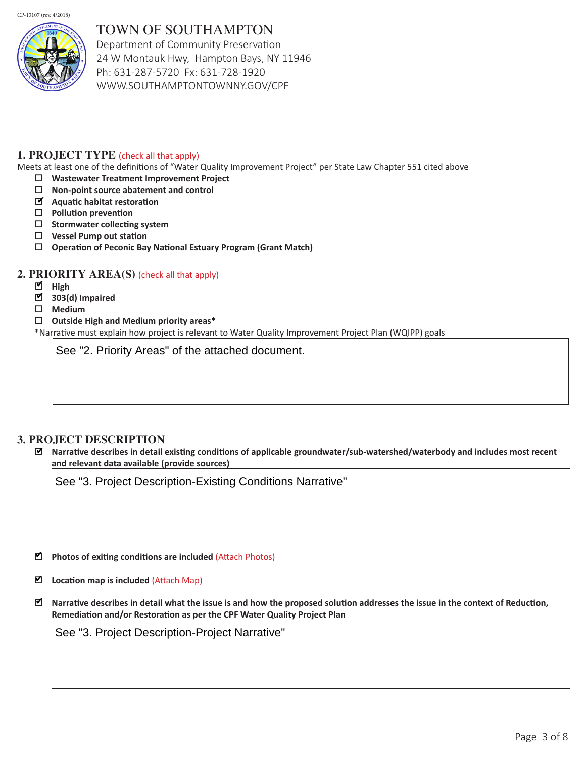CP-13107 (rev. 4/2018)



# TOWN OF SOUTHAMPTON

Department of Community Preservation 24 W Montauk Hwy, Hampton Bays, NY 11946 Ph: 631-287-5720 Fx: 631-728-1920 WWW.SOUTHAMPTONTOWNNY.GOV/CPF

### **1. PROJECT TYPE** (check all that apply)

Meets at least one of the definitions of "Water Quality Improvement Project" per State Law Chapter 551 cited above

- **Wastewater Treatment Improvement Project**
- **Non-point source abatement and control**
- **Aquatic habitat restoration** ✔
- **Pollution prevention**
- **Stormwater collecting system**
- **Vessel Pump out station**
- **Operation of Peconic Bay National Estuary Program (Grant Match)**

#### **2. PRIORITY AREA(S)** (check all that apply)

- High
- 303(d) Impaired
- **Medium**
- **Outside High and Medium priority areas\***

\*Narrative must explain how project is relevant to Water Quality Improvement Project Plan (WQIPP) goals

See "2. Priority Areas" of the attached document.

#### **3. PROJECT DESCRIPTION**

 **Narrative describes in detail existing conditions of applicable groundwater/sub-watershed/waterbody and includes most recent and relevant data available (provide sources)** ✔

See "3. Project Description-Existing Conditions Narrative"

■ Photos of exiting conditions are included (Attach Photos)

- Location map is included (Attach Map)
- **Narrative describes in detail what the issue is and how the proposed solution addresses the issue in the context of Reduction, Remediation and/or Restoration as per the CPF Water Quality Project Plan** ✔

See "3. Project Description-Project Narrative"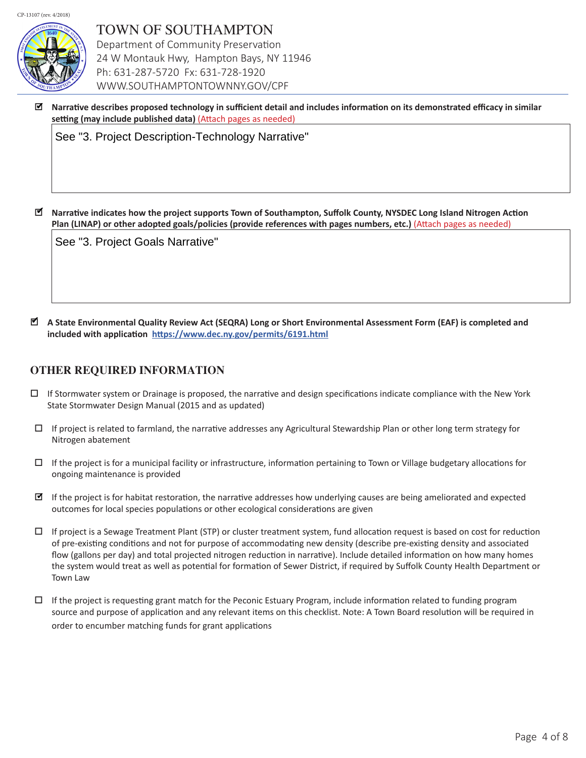

TOWN OF SOUTHAMPTON Department of Community Preservation 24 W Montauk Hwy, Hampton Bays, NY 11946 Ph: 631-287-5720 Fx: 631-728-1920 WWW.SOUTHAMPTONTOWNNY.GOV/CPF

 **Narrative describes proposed technology in sufficient detail and includes information on its demonstrated efficacy in similar setting (may include published data)** (Attach pages as needed) ✔

See "3. Project Description-Technology Narrative"

 **Narrative indicates how the project supports Town of Southampton, Suffolk County, NYSDEC Long Island Nitrogen Action Plan (LINAP) or other adopted goals/policies (provide references with pages numbers, etc.)** (Attach pages as needed) ✔

See "3. Project Goals Narrative"

 **A State Environmental Quality Review Act (SEQRA) Long or Short Environmental Assessment Form (EAF) is completed and**  ✔ **included with application <https://www.dec.ny.gov/permits/6191.html>**

#### **OTHER REQUIRED INFORMATION**

- $\Box$  If Stormwater system or Drainage is proposed, the narrative and design specifications indicate compliance with the New York State Stormwater Design Manual (2015 and as updated)
- $\Box$  If project is related to farmland, the narrative addresses any Agricultural Stewardship Plan or other long term strategy for Nitrogen abatement
- $\Box$  If the project is for a municipal facility or infrastructure, information pertaining to Town or Village budgetary allocations for ongoing maintenance is provided
- If the project is for habitat restoration, the narrative addresses how underlying causes are being ameliorated and expected outcomes for local species populations or other ecological considerations are given
- $\Box$  If project is a Sewage Treatment Plant (STP) or cluster treatment system, fund allocation request is based on cost for reduction of pre-existing conditions and not for purpose of accommodating new density (describe pre-existing density and associated flow (gallons per day) and total projected nitrogen reduction in narrative). Include detailed information on how many homes the system would treat as well as potential for formation of Sewer District, if required by Suffolk County Health Department or Town Law
- $\Box$  If the project is requesting grant match for the Peconic Estuary Program, include information related to funding program source and purpose of application and any relevant items on this checklist. Note: A Town Board resolution will be required in order to encumber matching funds for grant applications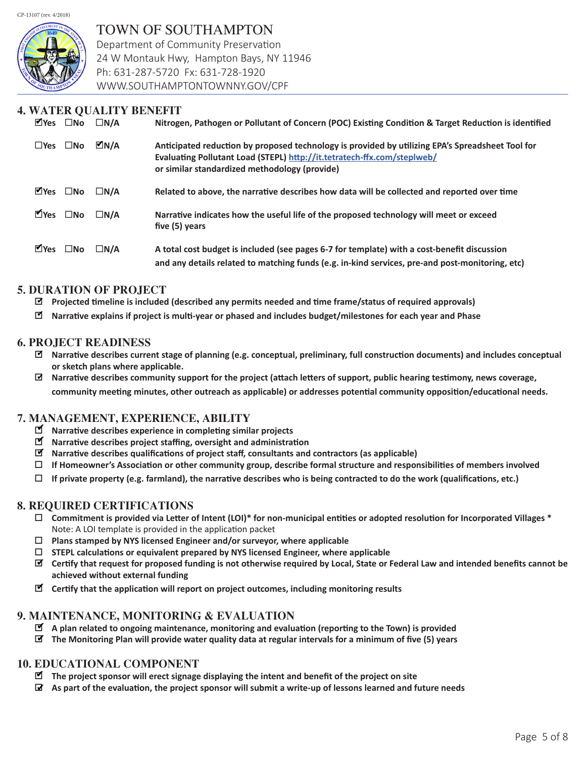CP-13107 (rev. 4/2018)



## TOWN OF SOUTHAMPTON

Department of Community Preservation 24 W Montauk Hwy, Hampton Bays, NY 11946 Ph: 631-287-5720 Fx: 631-728-1920 WWW.SOUTHAMPTONTOWNNY.GOV/CPF

## **4. WATER QUALITY BENEFIT**

| $\blacksquare$ Yes              | $\square$ No                    | $\Box N/A$ | Nitrogen, Pathogen or Pollutant of Concern (POC) Existing Condition & Target Reduction is identified                                                                                                                         |
|---------------------------------|---------------------------------|------------|------------------------------------------------------------------------------------------------------------------------------------------------------------------------------------------------------------------------------|
|                                 | $\square$ Yes $\square$ No      | $M_N/A$    | Anticipated reduction by proposed technology is provided by utilizing EPA's Spreadsheet Tool for<br>Evaluating Pollutant Load (STEPL) http://it.tetratech-ffx.com/steplweb/<br>or similar standardized methodology (provide) |
|                                 | $\blacksquare$ Yes $\square$ No | $\Box N/A$ | Related to above, the narrative describes how data will be collected and reported over time                                                                                                                                  |
|                                 | $Y$ Yes $\square$ No            | $\Box N/A$ | Narrative indicates how the useful life of the proposed technology will meet or exceed<br>five (5) years                                                                                                                     |
| $\blacksquare$ Yes $\square$ No |                                 | $\Box N/A$ | A total cost budget is included (see pages 6-7 for template) with a cost-benefit discussion<br>and any details related to matching funds (e.g. in-kind services, pre-and post-monitoring, etc)                               |

### **5. DURATION OF PROJECT**

- **Projected timeline is included (described any permits needed and time frame/status of required approvals)** ✔
- **Narrative explains if project is multi-year or phased and includes budget/milestones for each year and Phase** ✔

#### **6. PROJECT READINESS**

- **Narrative describes current stage of planning (e.g. conceptual, preliminary, full construction documents) and includes conceptual**  ✔ **or sketch plans where applicable.**
- **Narrative describes community support for the project (attach letters of support, public hearing testimony, news coverage,**  ✔ **community meeting minutes, other outreach as applicable) or addresses potential community opposition/educational needs.**

### **7. MANAGEMENT, EXPERIENCE, ABILITY**

- **Narrative describes experience in completing similar projects** ✔
- **Narrative describes project staffing, oversight and administration** ✔
- **Narrative describes qualifications of project staff, consultants and contractors (as applicable)** ✔
- **If Homeowner's Association or other community group, describe formal structure and responsibilities of members involved**
- **If private property (e.g. farmland), the narrative describes who is being contracted to do the work (qualifications, etc.)**

#### **8. REQUIRED CERTIFICATIONS**

- **Commitment is provided via Letter of Intent (LOI)\* for non-municipal entities or adopted resolution for Incorporated Villages \***  Note: A LOI template is provided in the application packet
- **Plans stamped by NYS licensed Engineer and/or surveyor, where applicable**
- **STEPL calculations or equivalent prepared by NYS licensed Engineer, where applicable**
- **Certify that request for proposed funding is not otherwise required by Local, State or Federal Law and intended benefits cannot be**  ✔ **achieved without external funding**
- **Certify that the application will report on project outcomes, including monitoring results** ✔

#### **9. MAINTENANCE, MONITORING & EVALUATION**

- **A plan related to ongoing maintenance, monitoring and evaluation (reporting to the Town) is provided** ✔
- **The Monitoring Plan will provide water quality data at regular intervals for a minimum of five (5) years** ✔

#### **10. EDUCATIONAL COMPONENT**

- **The project sponsor will erect signage displaying the intent and benefit of the project on site** ✔
- **As part of the evaluation, the project sponsor will submit a write-up of lessons learned and future needs** ✔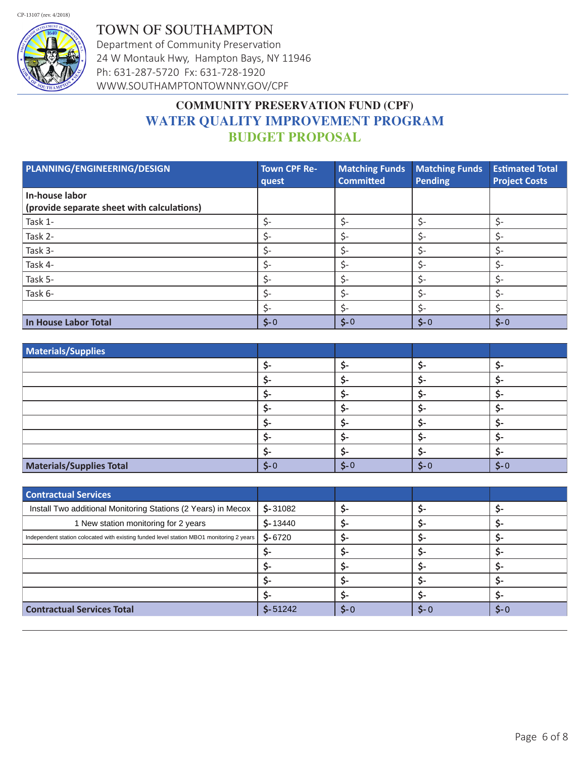CP-13107 (rev. 4/2018)



TOWN OF SOUTHAMPTON Department of Community Preservation 24 W Montauk Hwy, Hampton Bays, NY 11946 Ph: 631-287-5720 Fx: 631-728-1920 WWW.SOUTHAMPTONTOWNNY.GOV/CPF

# **COMMUNITY PRESERVATION FUND (CPF) WATER QUALITY IMPROVEMENT PROGRAM BUDGET PROPOSAL**

| PLANNING/ENGINEERING/DESIGN                                  | <b>Town CPF Re-</b><br>quest   | <b>Matching Funds</b><br><b>Committed</b> | <b>Matching Funds</b><br>Pending | <b>Estimated Total</b><br><b>Project Costs</b> |
|--------------------------------------------------------------|--------------------------------|-------------------------------------------|----------------------------------|------------------------------------------------|
| In-house labor<br>(provide separate sheet with calculations) |                                |                                           |                                  |                                                |
| Task 1-                                                      | \$-                            | \$-                                       | Ś-                               | $\zeta$ -                                      |
| Task 2-                                                      | \$-                            | \$-                                       |                                  | \$-                                            |
| Task 3-                                                      | \$-                            | \$-                                       |                                  | \$-                                            |
| Task 4-                                                      | Ś-                             | \$-                                       | $\mathsf{S}$ -                   | ς-                                             |
| Task 5-                                                      | \$-                            | \$-                                       | S-                               | \$-                                            |
| Task 6-                                                      | Ś-                             | \$-                                       | \$-                              | \$-                                            |
|                                                              | Ś-                             | \$-                                       |                                  | \$-                                            |
| In House Labor Total                                         | $\mathsf{S}\text{-}\mathsf{O}$ | $$ -0$                                    | $S - 0$                          | $$ -0$                                         |

| Materials/Supplies              |        |        |         |       |
|---------------------------------|--------|--------|---------|-------|
|                                 |        |        |         |       |
|                                 |        |        |         |       |
|                                 |        |        |         |       |
|                                 |        |        |         |       |
|                                 |        |        |         |       |
|                                 |        |        |         |       |
|                                 |        |        |         |       |
| <b>Materials/Supplies Total</b> | $$ -0$ | $$ -0$ | $S - C$ | $$-0$ |

| <b>Contractual Services</b>                                                              |           |        |         |        |
|------------------------------------------------------------------------------------------|-----------|--------|---------|--------|
| Install Two additional Monitoring Stations (2 Years) in Mecox                            | $$-31082$ |        |         |        |
| 1 New station monitoring for 2 years                                                     | $$-13440$ |        |         |        |
| Independent station colocated with existing funded level station MBO1 monitoring 2 years | $$-6720$  |        |         |        |
|                                                                                          |           |        |         |        |
|                                                                                          |           |        |         |        |
|                                                                                          |           |        |         |        |
|                                                                                          |           |        |         |        |
| <b>Contractual Services Total</b>                                                        | $$-51242$ | $$ -0$ | $S - Q$ | $$ -0$ |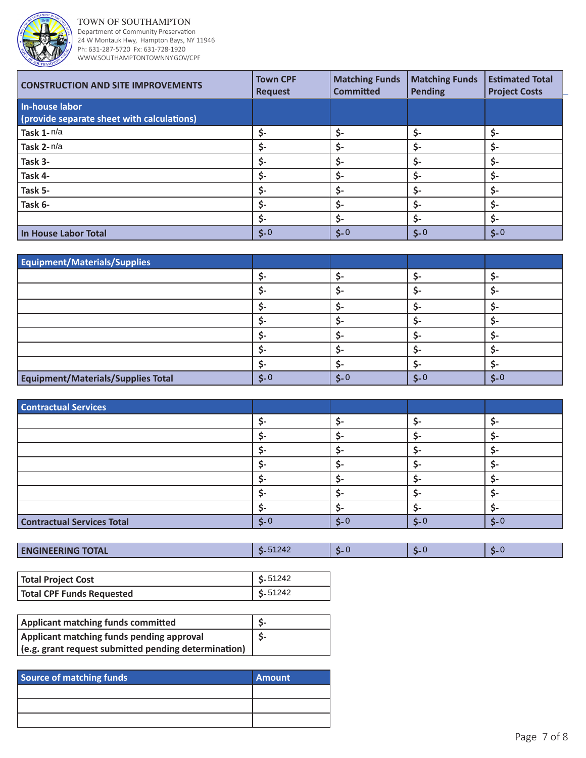

TOWN OF SOUTHAMPTON

Department of Community Preservation 24 W Montauk Hwy, Hampton Bays, NY 11946 Ph: 631-287-5720 Fx: 631-728-1920 WWW.SOUTHAMPTONTOWNNY.GOV/CPF

| <b>CONSTRUCTION AND SITE IMPROVEMENTS</b>                    | <b>Town CPF</b><br><b>Request</b> | <b>Matching Funds</b><br><b>Committed</b> | <b>Matching Funds</b><br><b>Pending</b> | <b>Estimated Total</b><br><b>Project Costs</b> |
|--------------------------------------------------------------|-----------------------------------|-------------------------------------------|-----------------------------------------|------------------------------------------------|
| In-house labor<br>(provide separate sheet with calculations) |                                   |                                           |                                         |                                                |
| Task 1-n/a                                                   | \$-                               | \$-                                       | \$-                                     | \$-                                            |
| Task 2-n/a                                                   | S-                                | \$-                                       | \$-                                     |                                                |
| Task 3-                                                      | \$-                               | \$-                                       | \$-                                     |                                                |
| Task 4-                                                      | \$-                               | \$-                                       | \$-                                     | \$-                                            |
| Task 5-                                                      | \$-                               | \$-                                       | \$-                                     | \$-                                            |
| Task 6-                                                      | Ŝ-                                | \$-                                       | \$-                                     |                                                |
|                                                              | \$-                               | \$-                                       | \$-                                     | \$-                                            |
| In House Labor Total                                         | $5-0$                             | $$ -0$                                    | $5 - 0$                                 | $$ -0$                                         |

| Equipment/Materials/Supplies       |                                |        |                                |                                |
|------------------------------------|--------------------------------|--------|--------------------------------|--------------------------------|
|                                    |                                |        | S.                             |                                |
|                                    |                                |        |                                |                                |
|                                    |                                |        |                                |                                |
|                                    |                                |        |                                |                                |
|                                    |                                |        |                                |                                |
|                                    |                                |        |                                |                                |
|                                    |                                |        |                                |                                |
| Equipment/Materials/Supplies Total | $\mathsf{S}\text{-}\mathsf{O}$ | $$ -0$ | $\mathsf{S}\text{-}\mathsf{O}$ | $\mathsf{S}\text{-}\mathsf{O}$ |

| <b>Contractual Services</b>       |            |                                |             |             |
|-----------------------------------|------------|--------------------------------|-------------|-------------|
|                                   |            |                                |             |             |
|                                   |            |                                |             |             |
|                                   |            |                                |             |             |
|                                   |            |                                |             |             |
|                                   |            |                                |             |             |
|                                   |            |                                |             |             |
|                                   |            |                                |             |             |
| <b>Contractual Services Total</b> | $\zeta$ -0 | $\mathsf{S}\text{-}\mathsf{O}$ | $\zeta$ - 0 | $\zeta$ - 0 |

| <b>ENGINEERING TOTAL</b> | $2\Delta$ |  |  |  |
|--------------------------|-----------|--|--|--|
|--------------------------|-----------|--|--|--|

| Total Project Cost        | $\frac{\mathsf{S}}{\mathsf{S}}$ 51242 |
|---------------------------|---------------------------------------|
| Total CPF Funds Requested | $\frac{\text{S}}{2}$ 51242            |

| Applicant matching funds committed                   |     |
|------------------------------------------------------|-----|
| Applicant matching funds pending approval            | -S- |
| (e.g. grant request submitted pending determination) |     |

| <b>Source of matching funds</b> | <b>Amount</b> |
|---------------------------------|---------------|
|                                 |               |
|                                 |               |
|                                 |               |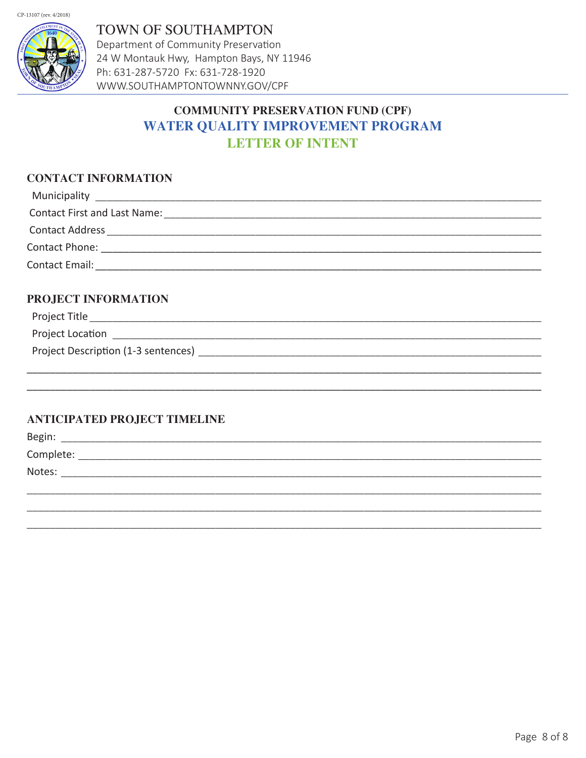

**TOWN OF SOUTHAMPTON** Department of Community Preservation 24 W Montauk Hwy, Hampton Bays, NY 11946 Ph: 631-287-5720 Fx: 631-728-1920 WWW.SOUTHAMPTONTOWNNY.GOV/CPF

# **COMMUNITY PRESERVATION FUND (CPF) WATER QUALITY IMPROVEMENT PROGRAM LETTER OF INTENT**

## **CONTACT INFORMATION**

| Municipality and the contract of the contract of the contract of the contract of the contract of the contract of the contract of the contract of the contract of the contract of the contract of the contract of the contract |  |
|-------------------------------------------------------------------------------------------------------------------------------------------------------------------------------------------------------------------------------|--|
| <b>Contact First and Last Name:</b>                                                                                                                                                                                           |  |
| <b>Contact Address</b>                                                                                                                                                                                                        |  |
| Contact Phone:                                                                                                                                                                                                                |  |
| Contact Email:                                                                                                                                                                                                                |  |

### PROJECT INFORMATION

| Project Description (1-3 sentences) |  |
|-------------------------------------|--|
|                                     |  |

### **ANTICIPATED PROJECT TIMELINE**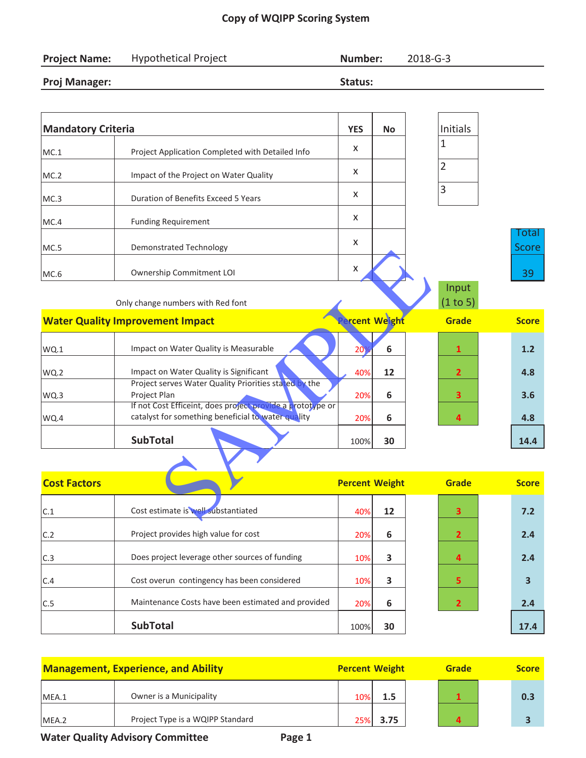## **Copy of WQIPP Scoring System**

| <b>Project Name:</b>      | <b>Hypothetical Project</b>                                                                                      | Number:               |              | 2018-G-3 |                   |                       |
|---------------------------|------------------------------------------------------------------------------------------------------------------|-----------------------|--------------|----------|-------------------|-----------------------|
| <b>Proj Manager:</b>      |                                                                                                                  | Status:               |              |          |                   |                       |
|                           |                                                                                                                  |                       |              |          |                   |                       |
| <b>Mandatory Criteria</b> |                                                                                                                  | <b>YES</b>            | <b>No</b>    |          | Initials          |                       |
| MC.1                      | Project Application Completed with Detailed Info                                                                 | X                     |              |          | $\mathbf{1}$      |                       |
| MC.2                      | Impact of the Project on Water Quality                                                                           | X                     |              |          | $\overline{2}$    |                       |
| MC.3                      | <b>Duration of Benefits Exceed 5 Years</b>                                                                       | X                     |              |          | $\overline{3}$    |                       |
| MC.4                      | <b>Funding Requirement</b>                                                                                       | X                     |              |          |                   |                       |
| MC.5                      | <b>Demonstrated Technology</b>                                                                                   | X                     |              |          |                   | Total<br><b>Score</b> |
| MC.6                      | Ownership Commitment LOI                                                                                         | X                     |              |          |                   | 39                    |
|                           | Only change numbers with Red font                                                                                |                       |              |          | Input<br>(1 to 5) |                       |
|                           | <b>Water Quality Improvement Impact</b>                                                                          |                       | rcent Weight |          | <b>Grade</b>      | <b>Score</b>          |
| WQ.1                      | Impact on Water Quality is Measurable                                                                            | 20 <sub>2</sub>       | 6            |          | $\mathbf{1}$      | 1.2                   |
| WQ.2                      | Impact on Water Quality is Significant                                                                           | 40%                   | 12           |          | $\overline{2}$    | 4.8                   |
| WQ.3                      | Project serves Water Quality Priorities stated by the<br>Project Plan                                            | 20%                   | 6            |          | 3                 | 3.6                   |
| WQ.4                      | If not Cost Efficeint, does project provide a prototype or<br>catalyst for something beneficial to water quality | 20%                   | 6            |          | 4                 | 4.8                   |
|                           | <b>SubTotal</b>                                                                                                  | 100%                  | 30           |          |                   | 14.4                  |
|                           |                                                                                                                  |                       |              |          |                   |                       |
| <b>Cost Factors</b>       |                                                                                                                  | <b>Percent Weight</b> |              |          | Grade             | <b>Score</b>          |
| C.1                       | Cost estimate is well substantiated                                                                              | 40%                   | 12           |          | 3                 | 7.2                   |

| $\cdots$ |                                                            | $\cdot$ |    |  | .    |
|----------|------------------------------------------------------------|---------|----|--|------|
|          | Project serves Water Quality Priorities stated by the      |         |    |  |      |
| WQ.3     | Project Plan                                               | 20%     | 6  |  | 3.6  |
|          | If not Cost Efficeint, does project provide a prototype or |         |    |  |      |
| WO.4     | catalyst for something beneficial to water quality         | 20%     |    |  | 4.8  |
|          | <b>SubTotal</b>                                            | 100%    | 30 |  | 14.4 |
|          |                                                            |         |    |  |      |
|          |                                                            |         |    |  |      |

| <b>Cost Factors</b> |                                                    | <b>Percent Weight</b> |    | <b>Grade</b> | <b>Score</b> |
|---------------------|----------------------------------------------------|-----------------------|----|--------------|--------------|
| C.1                 | Cost estimate is well substantiated                | 40%                   | 12 | 3            | 7.2          |
| C.2                 | Project provides high value for cost               | 20%                   | 6  | 2            | 2.4          |
| C.3                 | Does project leverage other sources of funding     | 10%                   | 3  |              | 2.4          |
| C.4                 | Cost overun contingency has been considered        | 10%                   | 3  | 5.           |              |
| C.5                 | Maintenance Costs have been estimated and provided | 20%                   | 6  |              | 2.4          |
|                     | <b>SubTotal</b>                                    | 100%                  | 30 |              | 17.4         |

|       | <b>Management, Experience, and Ability</b> | <b>Percent Weight</b> |      | Grade | <b>Score</b> |
|-------|--------------------------------------------|-----------------------|------|-------|--------------|
| MEA.1 | Owner is a Municipality                    | 10%                   | 1.5  |       | 0.3          |
| MEA.2 | Project Type is a WQIPP Standard           | 25%                   | 3.75 |       |              |

**Water Quality Advisory Committee <b>Page 1**